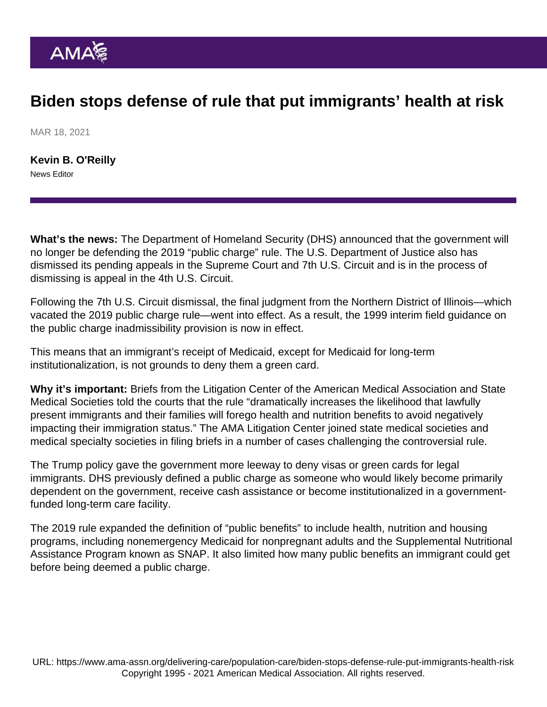## Biden stops defense of rule that put immigrants' health at risk

MAR 18, 2021

[Kevin B. O'Reilly](https://www.ama-assn.org/news-leadership-viewpoints/authors-news-leadership-viewpoints/kevin-b-oreilly) News Editor

What's the news: The Department of Homeland Security (DHS) announced that the government will no longer be defending the 2019 "public charge" rule. The U.S. Department of Justice also has dismissed its pending appeals in the Supreme Court and 7th U.S. Circuit and is in the process of dismissing is appeal in the 4th U.S. Circuit.

Following the 7th U.S. Circuit dismissal, the final judgment from the Northern District of Illinois—which vacated the 2019 public charge rule—went into effect. As a result, the 1999 interim field guidance on the public charge inadmissibility provision is now in effect.

This means that an immigrant's receipt of Medicaid, except for Medicaid for long-term institutionalization, is not grounds to deny them a green card.

Why it's important: Briefs from the [Litigation Center of the American Medical Association and State](https://www.ama-assn.org/health-care-advocacy/judicial-advocacy) [Medical Societies](https://www.ama-assn.org/health-care-advocacy/judicial-advocacy) told the courts that the rule "dramatically increases the likelihood that lawfully present immigrants and their families will forego health and nutrition benefits to avoid negatively impacting their immigration status." The AMA Litigation Center joined state medical societies and medical specialty societies in filing briefs in a number of cases challenging the controversial rule.

The Trump policy gave the government more leeway to deny visas or green cards for legal immigrants. DHS previously defined a public charge as someone who would likely become primarily dependent on the government, receive cash assistance or become institutionalized in a governmentfunded long-term care facility.

The 2019 rule expanded the definition of "public benefits" to include health, nutrition and housing programs, including nonemergency Medicaid for nonpregnant adults and the Supplemental Nutritional Assistance Program known as SNAP. It also limited how many public benefits an immigrant could get before being deemed a public charge.